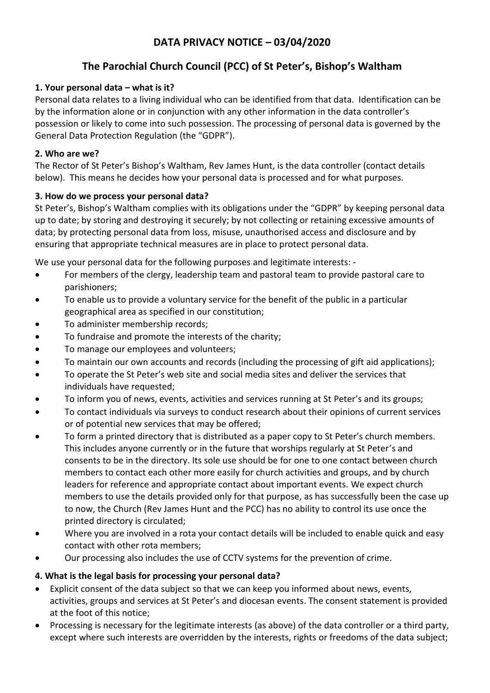# **DATA PRIVACY NOTICE – 03/04/2020**

# **The Parochial Church Council (PCC) of St Peter's, Bishop's Waltham**

### **1. Your personal data – what is it?**

Personal data relates to a living individual who can be identified from that data. Identification can be by the information alone or in conjunction with any other information in the data controller's possession or likely to come into such possession. The processing of personal data is governed by the General Data Protection Regulation (the "GDPR").

## **2. Who are we?**

The Rector of St Peter's Bishop's Waltham, Rev James Hunt, is the data controller (contact details below). This means he decides how your personal data is processed and for what purposes.

## **3. How do we process your personal data?**

St Peter's, Bishop's Waltham complies with its obligations under the "GDPR" by keeping personal data up to date; by storing and destroying it securely; by not collecting or retaining excessive amounts of data; by protecting personal data from loss, misuse, unauthorised access and disclosure and by ensuring that appropriate technical measures are in place to protect personal data.

We use your personal data for the following purposes and legitimate interests: -

- For members of the clergy, leadership team and pastoral team to provide pastoral care to parishioners;
- To enable us to provide a voluntary service for the benefit of the public in a particular geographical area as specified in our constitution;
- To administer membership records;
- To fundraise and promote the interests of the charity;
- To manage our employees and volunteers;
- To maintain our own accounts and records (including the processing of gift aid applications);
- To operate the St Peter's web site and social media sites and deliver the services that individuals have requested;
- To inform you of news, events, activities and services running at St Peter's and its groups;
- To contact individuals via surveys to conduct research about their opinions of current services or of potential new services that may be offered;
- To form a printed directory that is distributed as a paper copy to St Peter's church members. This includes anyone currently or in the future that worships regularly at St Peter's and consents to be in the directory. Its sole use should be for one to one contact between church members to contact each other more easily for church activities and groups, and by church leaders for reference and appropriate contact about important events. We expect church members to use the details provided only for that purpose, as has successfully been the case up to now, the Church (Rev James Hunt and the PCC) has no ability to control its use once the printed directory is circulated;
- Where you are involved in a rota your contact details will be included to enable quick and easy contact with other rota members;
- Our processing also includes the use of CCTV systems for the prevention of crime.

## **4. What is the legal basis for processing your personal data?**

- Explicit consent of the data subject so that we can keep you informed about news, events, activities, groups and services at St Peter's and diocesan events. The consent statement is provided at the foot of this notice;
- Processing is necessary for the legitimate interests (as above) of the data controller or a third party, except where such interests are overridden by the interests, rights or freedoms of the data subject;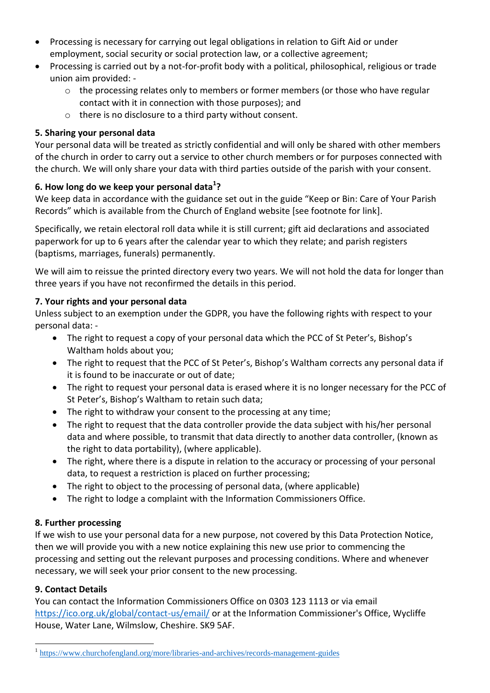- Processing is necessary for carrying out legal obligations in relation to Gift Aid or under employment, social security or social protection law, or a collective agreement;
- Processing is carried out by a not-for-profit body with a political, philosophical, religious or trade union aim provided:
	- o the processing relates only to members or former members (or those who have regular contact with it in connection with those purposes); and
	- o there is no disclosure to a third party without consent.

### **5. Sharing your personal data**

Your personal data will be treated as strictly confidential and will only be shared with other members of the church in order to carry out a service to other church members or for purposes connected with the church. We will only share your data with third parties outside of the parish with your consent.

## **6. How long do we keep your personal data<sup>1</sup> ?**

We keep data in accordance with the guidance set out in the guide "Keep or Bin: Care of Your Parish Records" which is available from the Church of England website [see footnote for link].

Specifically, we retain electoral roll data while it is still current; gift aid declarations and associated paperwork for up to 6 years after the calendar year to which they relate; and parish registers (baptisms, marriages, funerals) permanently.

We will aim to reissue the printed directory every two years. We will not hold the data for longer than three years if you have not reconfirmed the details in this period.

#### **7. Your rights and your personal data**

Unless subject to an exemption under the GDPR, you have the following rights with respect to your personal data: -

- The right to request a copy of your personal data which the PCC of St Peter's, Bishop's Waltham holds about you;
- The right to request that the PCC of St Peter's, Bishop's Waltham corrects any personal data if it is found to be inaccurate or out of date;
- The right to request your personal data is erased where it is no longer necessary for the PCC of St Peter's, Bishop's Waltham to retain such data;
- The right to withdraw your consent to the processing at any time;
- The right to request that the data controller provide the data subject with his/her personal data and where possible, to transmit that data directly to another data controller, (known as the right to data portability), (where applicable).
- The right, where there is a dispute in relation to the accuracy or processing of your personal data, to request a restriction is placed on further processing;
- The right to object to the processing of personal data, (where applicable)
- The right to lodge a complaint with the Information Commissioners Office.

## **8. Further processing**

If we wish to use your personal data for a new purpose, not covered by this Data Protection Notice, then we will provide you with a new notice explaining this new use prior to commencing the processing and setting out the relevant purposes and processing conditions. Where and whenever necessary, we will seek your prior consent to the new processing.

#### **9. Contact Details**

 $\overline{a}$ 

You can contact the Information Commissioners Office on 0303 123 1113 or via email <https://ico.org.uk/global/contact-us/email/> or at the Information Commissioner's Office, Wycliffe House, Water Lane, Wilmslow, Cheshire. SK9 5AF.

<sup>&</sup>lt;sup>1</sup> <https://www.churchofengland.org/more/libraries-and-archives/records-management-guides>